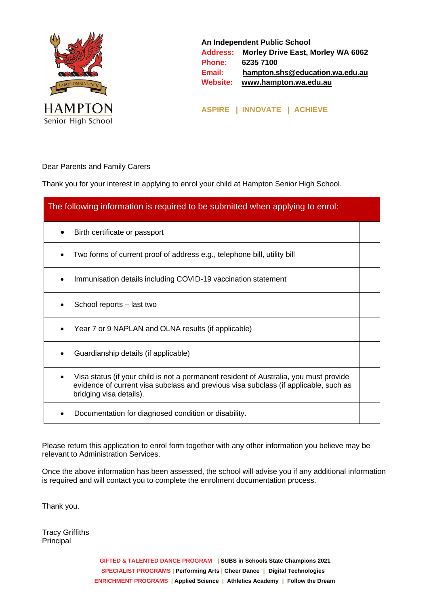

**An Independent Public School Address: Morley Drive East, Morley WA 6062 Phone: 6235 7100 Email: [hampton.shs@education.wa.edu.au](mailto:hampton.shs@education.wa.edu.au) Website: [www.hampton.wa.edu.au](http://www.hampton.wa.edu.au/)**

**ASPIRE | INNOVATE | ACHIEVE**

Dear Parents and Family Carers

Thank you for your interest in applying to enrol your child at Hampton Senior High School.

| The following information is required to be submitted when applying to enrol:                                                                                                                                         |  |
|-----------------------------------------------------------------------------------------------------------------------------------------------------------------------------------------------------------------------|--|
| Birth certificate or passport                                                                                                                                                                                         |  |
| Two forms of current proof of address e.g., telephone bill, utility bill                                                                                                                                              |  |
| Immunisation details including COVID-19 vaccination statement                                                                                                                                                         |  |
| School reports – last two                                                                                                                                                                                             |  |
| Year 7 or 9 NAPLAN and OLNA results (if applicable)                                                                                                                                                                   |  |
| Guardianship details (if applicable)                                                                                                                                                                                  |  |
| Visa status (if your child is not a permanent resident of Australia, you must provide<br>$\bullet$<br>evidence of current visa subclass and previous visa subclass (if applicable, such as<br>bridging visa details). |  |
| Documentation for diagnosed condition or disability.                                                                                                                                                                  |  |

Please return this application to enrol form together with any other information you believe may be relevant to Administration Services.

Once the above information has been assessed, the school will advise you if any additional information is required and will contact you to complete the enrolment documentation process.

Thank you.

Tracy Griffiths Principal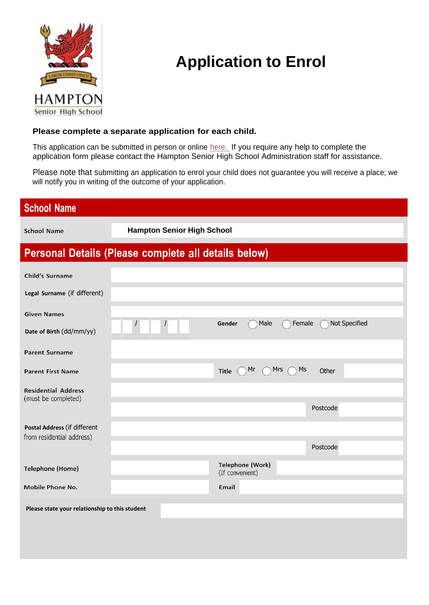

## **Application to Enrol**

## **Please complete a separate application for each child.**

This application can be submitted in person or online [here.](https://www.hampton.wa.edu.au/enrolments/) If you require any help to complete the application form please contact the Hampton Senior High School Administration staff for assistance.

Please note that submitting an application to enrol your child does not guarantee you will receive a place; we will notify you in writing of the outcome of your application.

| <b>School Name</b>                                        |                                   |                                     |           |               |  |
|-----------------------------------------------------------|-----------------------------------|-------------------------------------|-----------|---------------|--|
| <b>School Name</b>                                        | <b>Hampton Senior High School</b> |                                     |           |               |  |
| Personal Details (Please complete all details below)      |                                   |                                     |           |               |  |
| Child's Surname                                           |                                   |                                     |           |               |  |
| Legal Surname (if different)                              |                                   |                                     |           |               |  |
| <b>Given Names</b>                                        |                                   |                                     |           |               |  |
| Date of Birth (dd/mm/yy)                                  |                                   | Male<br>Gender                      | Female    | Not Specified |  |
| <b>Parent Surname</b>                                     |                                   |                                     |           |               |  |
| <b>Parent First Name</b>                                  |                                   | Mr<br><b>Title</b>                  | Ms<br>Mrs | Other         |  |
| <b>Residential Address</b><br>(must be completed)         |                                   |                                     |           |               |  |
|                                                           |                                   |                                     |           | Postcode      |  |
| Postal Address (if different<br>from residential address) |                                   |                                     |           |               |  |
|                                                           |                                   |                                     |           | Postcode      |  |
| <b>Telephone (Home)</b>                                   |                                   | Telephone (Work)<br>(If convenient) |           |               |  |
| Mobile Phone No.                                          |                                   | Email                               |           |               |  |
| Please state your relationship to this student            |                                   |                                     |           |               |  |
|                                                           |                                   |                                     |           |               |  |
|                                                           |                                   |                                     |           |               |  |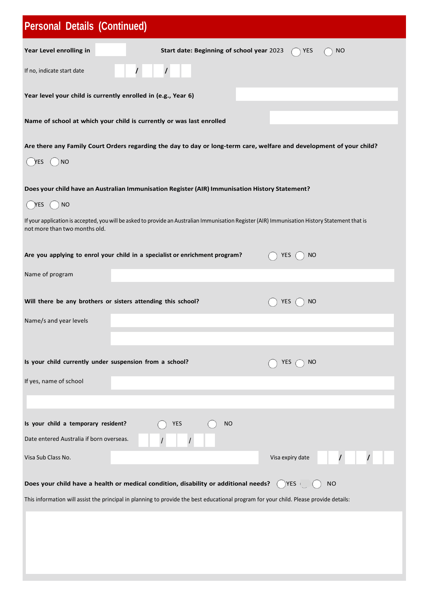| <b>Personal Details (Continued)</b>                                                                                                                                             |  |
|---------------------------------------------------------------------------------------------------------------------------------------------------------------------------------|--|
| Year Level enrolling in<br>Start date: Beginning of school year 2023<br><b>YES</b><br><b>NO</b>                                                                                 |  |
| $\prime$<br>If no, indicate start date                                                                                                                                          |  |
| Year level your child is currently enrolled in (e.g., Year 6)                                                                                                                   |  |
| Name of school at which your child is currently or was last enrolled                                                                                                            |  |
| Are there any Family Court Orders regarding the day to day or long-term care, welfare and development of your child?<br><b>NO</b><br>YES                                        |  |
| Does your child have an Australian Immunisation Register (AIR) Immunisation History Statement?                                                                                  |  |
| YES.<br><b>NO</b>                                                                                                                                                               |  |
| If your application is accepted, you will be asked to provide an Australian Immunisation Register (AIR) Immunisation History Statement that is<br>not more than two months old. |  |
| Are you applying to enrol your child in a specialist or enrichment program?<br><b>YES</b><br><b>NO</b>                                                                          |  |
| Name of program                                                                                                                                                                 |  |
| Will there be any brothers or sisters attending this school?<br>YES<br><b>NO</b>                                                                                                |  |
| Name/s and year levels                                                                                                                                                          |  |
|                                                                                                                                                                                 |  |
| Is your child currently under suspension from a school?<br><b>YES</b><br>NO                                                                                                     |  |
| If yes, name of school                                                                                                                                                          |  |
|                                                                                                                                                                                 |  |
| Is your child a temporary resident?<br><b>YES</b><br><b>NO</b><br>Date entered Australia if born overseas.                                                                      |  |
| Visa Sub Class No.<br>Visa expiry date                                                                                                                                          |  |
| Does your child have a health or medical condition, disability or additional needs?<br>$YES$ (<br><b>NO</b>                                                                     |  |
| This information will assist the principal in planning to provide the best educational program for your child. Please provide details:                                          |  |
|                                                                                                                                                                                 |  |
|                                                                                                                                                                                 |  |
|                                                                                                                                                                                 |  |
|                                                                                                                                                                                 |  |
|                                                                                                                                                                                 |  |